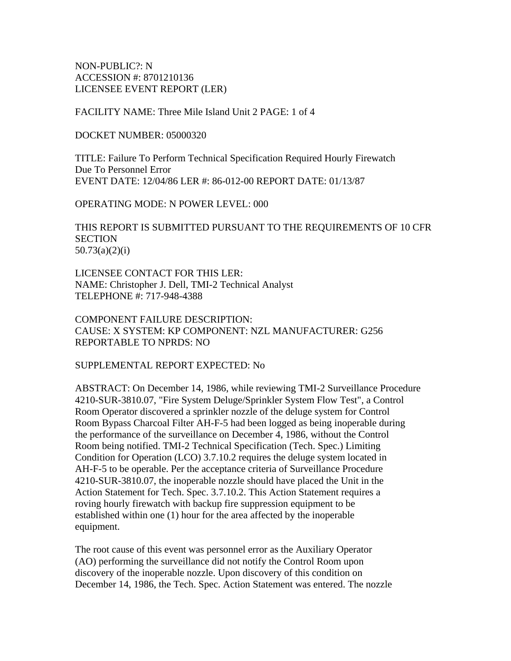NON-PUBLIC?: N ACCESSION #: 8701210136 LICENSEE EVENT REPORT (LER)

FACILITY NAME: Three Mile Island Unit 2 PAGE: 1 of 4

DOCKET NUMBER: 05000320

TITLE: Failure To Perform Technical Specification Required Hourly Firewatch Due To Personnel Error EVENT DATE: 12/04/86 LER #: 86-012-00 REPORT DATE: 01/13/87

OPERATING MODE: N POWER LEVEL: 000

THIS REPORT IS SUBMITTED PURSUANT TO THE REQUIREMENTS OF 10 CFR **SECTION** 50.73(a)(2)(i)

LICENSEE CONTACT FOR THIS LER: NAME: Christopher J. Dell, TMI-2 Technical Analyst TELEPHONE #: 717-948-4388

COMPONENT FAILURE DESCRIPTION: CAUSE: X SYSTEM: KP COMPONENT: NZL MANUFACTURER: G256 REPORTABLE TO NPRDS: NO

SUPPLEMENTAL REPORT EXPECTED: No

ABSTRACT: On December 14, 1986, while reviewing TMI-2 Surveillance Procedure 4210-SUR-3810.07, "Fire System Deluge/Sprinkler System Flow Test", a Control Room Operator discovered a sprinkler nozzle of the deluge system for Control Room Bypass Charcoal Filter AH-F-5 had been logged as being inoperable during the performance of the surveillance on December 4, 1986, without the Control Room being notified. TMI-2 Technical Specification (Tech. Spec.) Limiting Condition for Operation (LCO) 3.7.10.2 requires the deluge system located in AH-F-5 to be operable. Per the acceptance criteria of Surveillance Procedure 4210-SUR-3810.07, the inoperable nozzle should have placed the Unit in the Action Statement for Tech. Spec. 3.7.10.2. This Action Statement requires a roving hourly firewatch with backup fire suppression equipment to be established within one (1) hour for the area affected by the inoperable equipment.

The root cause of this event was personnel error as the Auxiliary Operator (AO) performing the surveillance did not notify the Control Room upon discovery of the inoperable nozzle. Upon discovery of this condition on December 14, 1986, the Tech. Spec. Action Statement was entered. The nozzle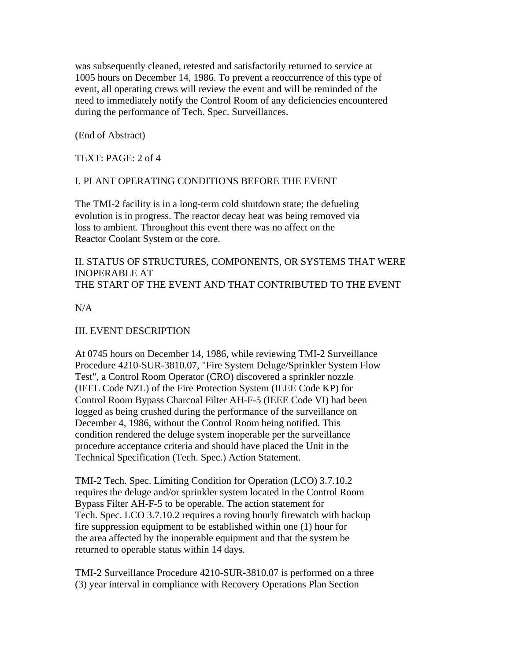was subsequently cleaned, retested and satisfactorily returned to service at 1005 hours on December 14, 1986. To prevent a reoccurrence of this type of event, all operating crews will review the event and will be reminded of the need to immediately notify the Control Room of any deficiencies encountered during the performance of Tech. Spec. Surveillances.

(End of Abstract)

TEXT: PAGE: 2 of 4

## I. PLANT OPERATING CONDITIONS BEFORE THE EVENT

The TMI-2 facility is in a long-term cold shutdown state; the defueling evolution is in progress. The reactor decay heat was being removed via loss to ambient. Throughout this event there was no affect on the Reactor Coolant System or the core.

II. STATUS OF STRUCTURES, COMPONENTS, OR SYSTEMS THAT WERE INOPERABLE AT THE START OF THE EVENT AND THAT CONTRIBUTED TO THE EVENT

N/A

# III. EVENT DESCRIPTION

At 0745 hours on December 14, 1986, while reviewing TMI-2 Surveillance Procedure 4210-SUR-3810.07, "Fire System Deluge/Sprinkler System Flow Test", a Control Room Operator (CRO) discovered a sprinkler nozzle (IEEE Code NZL) of the Fire Protection System (IEEE Code KP) for Control Room Bypass Charcoal Filter AH-F-5 (IEEE Code VI) had been logged as being crushed during the performance of the surveillance on December 4, 1986, without the Control Room being notified. This condition rendered the deluge system inoperable per the surveillance procedure acceptance criteria and should have placed the Unit in the Technical Specification (Tech. Spec.) Action Statement.

TMI-2 Tech. Spec. Limiting Condition for Operation (LCO) 3.7.10.2 requires the deluge and/or sprinkler system located in the Control Room Bypass Filter AH-F-5 to be operable. The action statement for Tech. Spec. LCO 3.7.10.2 requires a roving hourly firewatch with backup fire suppression equipment to be established within one (1) hour for the area affected by the inoperable equipment and that the system be returned to operable status within 14 days.

TMI-2 Surveillance Procedure 4210-SUR-3810.07 is performed on a three (3) year interval in compliance with Recovery Operations Plan Section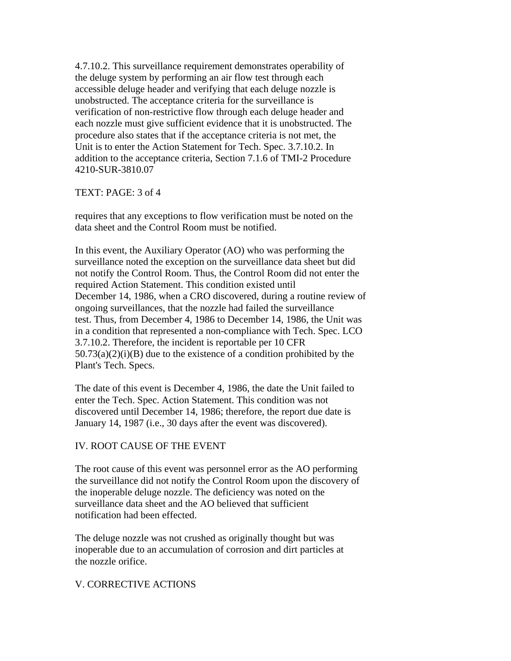4.7.10.2. This surveillance requirement demonstrates operability of the deluge system by performing an air flow test through each accessible deluge header and verifying that each deluge nozzle is unobstructed. The acceptance criteria for the surveillance is verification of non-restrictive flow through each deluge header and each nozzle must give sufficient evidence that it is unobstructed. The procedure also states that if the acceptance criteria is not met, the Unit is to enter the Action Statement for Tech. Spec. 3.7.10.2. In addition to the acceptance criteria, Section 7.1.6 of TMI-2 Procedure 4210-SUR-3810.07

#### TEXT: PAGE: 3 of 4

requires that any exceptions to flow verification must be noted on the data sheet and the Control Room must be notified.

In this event, the Auxiliary Operator (AO) who was performing the surveillance noted the exception on the surveillance data sheet but did not notify the Control Room. Thus, the Control Room did not enter the required Action Statement. This condition existed until December 14, 1986, when a CRO discovered, during a routine review of ongoing surveillances, that the nozzle had failed the surveillance test. Thus, from December 4, 1986 to December 14, 1986, the Unit was in a condition that represented a non-compliance with Tech. Spec. LCO 3.7.10.2. Therefore, the incident is reportable per 10 CFR  $50.73(a)(2)(i)(B)$  due to the existence of a condition prohibited by the Plant's Tech. Specs.

The date of this event is December 4, 1986, the date the Unit failed to enter the Tech. Spec. Action Statement. This condition was not discovered until December 14, 1986; therefore, the report due date is January 14, 1987 (i.e., 30 days after the event was discovered).

### IV. ROOT CAUSE OF THE EVENT

The root cause of this event was personnel error as the AO performing the surveillance did not notify the Control Room upon the discovery of the inoperable deluge nozzle. The deficiency was noted on the surveillance data sheet and the AO believed that sufficient notification had been effected.

The deluge nozzle was not crushed as originally thought but was inoperable due to an accumulation of corrosion and dirt particles at the nozzle orifice.

### V. CORRECTIVE ACTIONS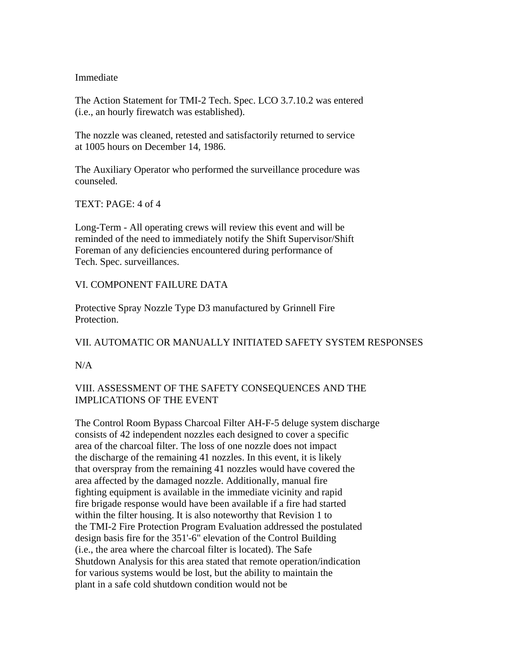#### Immediate

The Action Statement for TMI-2 Tech. Spec. LCO 3.7.10.2 was entered (i.e., an hourly firewatch was established).

The nozzle was cleaned, retested and satisfactorily returned to service at 1005 hours on December 14, 1986.

The Auxiliary Operator who performed the surveillance procedure was counseled.

TEXT: PAGE: 4 of 4

Long-Term - All operating crews will review this event and will be reminded of the need to immediately notify the Shift Supervisor/Shift Foreman of any deficiencies encountered during performance of Tech. Spec. surveillances.

## VI. COMPONENT FAILURE DATA

Protective Spray Nozzle Type D3 manufactured by Grinnell Fire Protection.

### VII. AUTOMATIC OR MANUALLY INITIATED SAFETY SYSTEM RESPONSES

 $N/A$ 

## VIII. ASSESSMENT OF THE SAFETY CONSEQUENCES AND THE IMPLICATIONS OF THE EVENT

The Control Room Bypass Charcoal Filter AH-F-5 deluge system discharge consists of 42 independent nozzles each designed to cover a specific area of the charcoal filter. The loss of one nozzle does not impact the discharge of the remaining 41 nozzles. In this event, it is likely that overspray from the remaining 41 nozzles would have covered the area affected by the damaged nozzle. Additionally, manual fire fighting equipment is available in the immediate vicinity and rapid fire brigade response would have been available if a fire had started within the filter housing. It is also noteworthy that Revision 1 to the TMI-2 Fire Protection Program Evaluation addressed the postulated design basis fire for the 351'-6" elevation of the Control Building (i.e., the area where the charcoal filter is located). The Safe Shutdown Analysis for this area stated that remote operation/indication for various systems would be lost, but the ability to maintain the plant in a safe cold shutdown condition would not be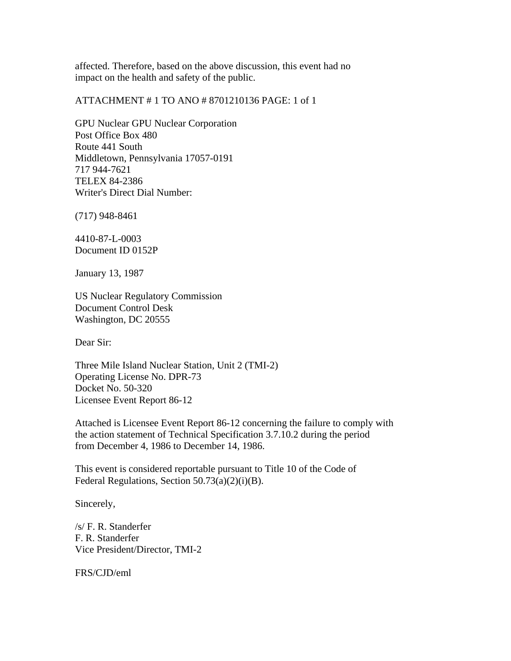affected. Therefore, based on the above discussion, this event had no impact on the health and safety of the public.

ATTACHMENT # 1 TO ANO # 8701210136 PAGE: 1 of 1

GPU Nuclear GPU Nuclear Corporation Post Office Box 480 Route 441 South Middletown, Pennsylvania 17057-0191 717 944-7621 TELEX 84-2386 Writer's Direct Dial Number:

(717) 948-8461

4410-87-L-0003 Document ID 0152P

January 13, 1987

US Nuclear Regulatory Commission Document Control Desk Washington, DC 20555

Dear Sir:

Three Mile Island Nuclear Station, Unit 2 (TMI-2) Operating License No. DPR-73 Docket No. 50-320 Licensee Event Report 86-12

Attached is Licensee Event Report 86-12 concerning the failure to comply with the action statement of Technical Specification 3.7.10.2 during the period from December 4, 1986 to December 14, 1986.

This event is considered reportable pursuant to Title 10 of the Code of Federal Regulations, Section 50.73(a)(2)(i)(B).

Sincerely,

/s/ F. R. Standerfer F. R. Standerfer Vice President/Director, TMI-2

FRS/CJD/eml